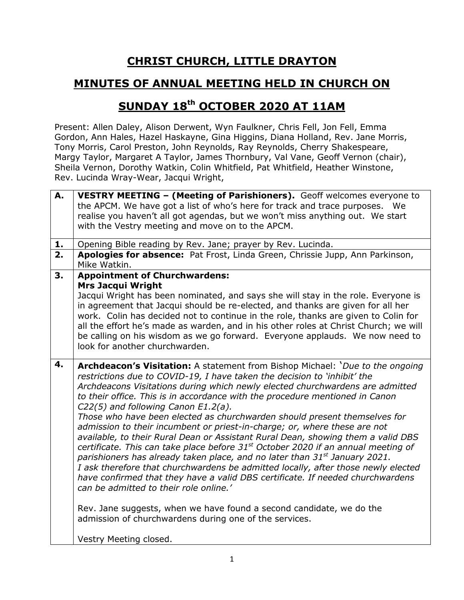## **CHRIST CHURCH, LITTLE DRAYTON**

## **MINUTES OF ANNUAL MEETING HELD IN CHURCH ON**

## **SUNDAY 18th OCTOBER 2020 AT 11AM**

Present: Allen Daley, Alison Derwent, Wyn Faulkner, Chris Fell, Jon Fell, Emma Gordon, Ann Hales, Hazel Haskayne, Gina Higgins, Diana Holland, Rev. Jane Morris, Tony Morris, Carol Preston, John Reynolds, Ray Reynolds, Cherry Shakespeare, Margy Taylor, Margaret A Taylor, James Thornbury, Val Vane, Geoff Vernon (chair), Sheila Vernon, Dorothy Watkin, Colin Whitfield, Pat Whitfield, Heather Winstone, Rev. Lucinda Wray-Wear, Jacqui Wright,

| А. | VESTRY MEETING - (Meeting of Parishioners). Geoff welcomes everyone to<br>the APCM. We have got a list of who's here for track and trace purposes. We<br>realise you haven't all got agendas, but we won't miss anything out. We start                                                                                                                                                                                                                                                                                                                                                                                                                                                                                                                                                                                                                                                                                                                                                                                                                                                                                                                                               |
|----|--------------------------------------------------------------------------------------------------------------------------------------------------------------------------------------------------------------------------------------------------------------------------------------------------------------------------------------------------------------------------------------------------------------------------------------------------------------------------------------------------------------------------------------------------------------------------------------------------------------------------------------------------------------------------------------------------------------------------------------------------------------------------------------------------------------------------------------------------------------------------------------------------------------------------------------------------------------------------------------------------------------------------------------------------------------------------------------------------------------------------------------------------------------------------------------|
|    | with the Vestry meeting and move on to the APCM.                                                                                                                                                                                                                                                                                                                                                                                                                                                                                                                                                                                                                                                                                                                                                                                                                                                                                                                                                                                                                                                                                                                                     |
| 1. | Opening Bible reading by Rev. Jane; prayer by Rev. Lucinda.                                                                                                                                                                                                                                                                                                                                                                                                                                                                                                                                                                                                                                                                                                                                                                                                                                                                                                                                                                                                                                                                                                                          |
| 2. | Apologies for absence: Pat Frost, Linda Green, Chrissie Jupp, Ann Parkinson,<br>Mike Watkin.                                                                                                                                                                                                                                                                                                                                                                                                                                                                                                                                                                                                                                                                                                                                                                                                                                                                                                                                                                                                                                                                                         |
| 3. | <b>Appointment of Churchwardens:</b><br><b>Mrs Jacqui Wright</b><br>Jacqui Wright has been nominated, and says she will stay in the role. Everyone is<br>in agreement that Jacqui should be re-elected, and thanks are given for all her<br>work. Colin has decided not to continue in the role, thanks are given to Colin for<br>all the effort he's made as warden, and in his other roles at Christ Church; we will<br>be calling on his wisdom as we go forward. Everyone applauds. We now need to<br>look for another churchwarden.                                                                                                                                                                                                                                                                                                                                                                                                                                                                                                                                                                                                                                             |
| 4. | <b>Archdeacon's Visitation:</b> A statement from Bishop Michael: 'Due to the ongoing<br>restrictions due to COVID-19, I have taken the decision to 'inhibit' the<br>Archdeacons Visitations during which newly elected churchwardens are admitted<br>to their office. This is in accordance with the procedure mentioned in Canon<br>C22(5) and following Canon E1.2(a).<br>Those who have been elected as churchwarden should present themselves for<br>admission to their incumbent or priest-in-charge; or, where these are not<br>available, to their Rural Dean or Assistant Rural Dean, showing them a valid DBS<br>certificate. This can take place before $31st$ October 2020 if an annual meeting of<br>parishioners has already taken place, and no later than 31 <sup>st</sup> January 2021.<br>I ask therefore that churchwardens be admitted locally, after those newly elected<br>have confirmed that they have a valid DBS certificate. If needed churchwardens<br>can be admitted to their role online.'<br>Rev. Jane suggests, when we have found a second candidate, we do the<br>admission of churchwardens during one of the services.<br>Vestry Meeting closed. |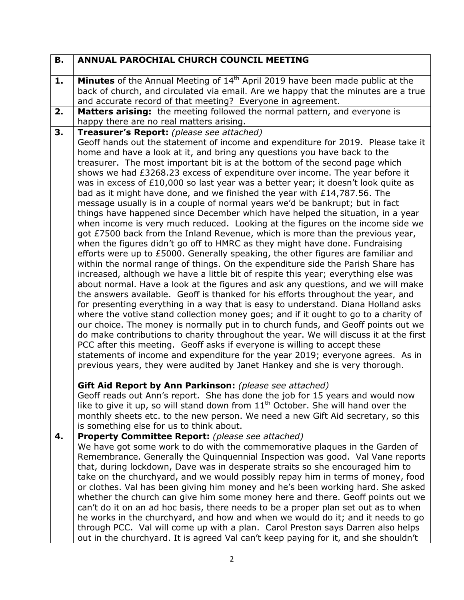| <b>B.</b> | <b>ANNUAL PAROCHIAL CHURCH COUNCIL MEETING</b>                                                                                                                                                                                                                                                                                                                                                                                                                                                                                                                                                                                                                                                                                                                                                                                                                                                                                                                                                                                                                                                                                                                                                                                                                                                                                                                                                                                                                                                                                                                                                                                                                                                                                                                                                                                                                                                                                                               |
|-----------|--------------------------------------------------------------------------------------------------------------------------------------------------------------------------------------------------------------------------------------------------------------------------------------------------------------------------------------------------------------------------------------------------------------------------------------------------------------------------------------------------------------------------------------------------------------------------------------------------------------------------------------------------------------------------------------------------------------------------------------------------------------------------------------------------------------------------------------------------------------------------------------------------------------------------------------------------------------------------------------------------------------------------------------------------------------------------------------------------------------------------------------------------------------------------------------------------------------------------------------------------------------------------------------------------------------------------------------------------------------------------------------------------------------------------------------------------------------------------------------------------------------------------------------------------------------------------------------------------------------------------------------------------------------------------------------------------------------------------------------------------------------------------------------------------------------------------------------------------------------------------------------------------------------------------------------------------------------|
| 1.        | <b>Minutes</b> of the Annual Meeting of 14 <sup>th</sup> April 2019 have been made public at the<br>back of church, and circulated via email. Are we happy that the minutes are a true<br>and accurate record of that meeting? Everyone in agreement.                                                                                                                                                                                                                                                                                                                                                                                                                                                                                                                                                                                                                                                                                                                                                                                                                                                                                                                                                                                                                                                                                                                                                                                                                                                                                                                                                                                                                                                                                                                                                                                                                                                                                                        |
| 2.        | Matters arising: the meeting followed the normal pattern, and everyone is<br>happy there are no real matters arising.                                                                                                                                                                                                                                                                                                                                                                                                                                                                                                                                                                                                                                                                                                                                                                                                                                                                                                                                                                                                                                                                                                                                                                                                                                                                                                                                                                                                                                                                                                                                                                                                                                                                                                                                                                                                                                        |
| 3.        | Treasurer's Report: (please see attached)                                                                                                                                                                                                                                                                                                                                                                                                                                                                                                                                                                                                                                                                                                                                                                                                                                                                                                                                                                                                                                                                                                                                                                                                                                                                                                                                                                                                                                                                                                                                                                                                                                                                                                                                                                                                                                                                                                                    |
|           | Geoff hands out the statement of income and expenditure for 2019. Please take it<br>home and have a look at it, and bring any questions you have back to the<br>treasurer. The most important bit is at the bottom of the second page which<br>shows we had £3268.23 excess of expenditure over income. The year before it<br>was in excess of £10,000 so last year was a better year; it doesn't look quite as<br>bad as it might have done, and we finished the year with £14,787.56. The<br>message usually is in a couple of normal years we'd be bankrupt; but in fact<br>things have happened since December which have helped the situation, in a year<br>when income is very much reduced. Looking at the figures on the income side we<br>got £7500 back from the Inland Revenue, which is more than the previous year,<br>when the figures didn't go off to HMRC as they might have done. Fundraising<br>efforts were up to £5000. Generally speaking, the other figures are familiar and<br>within the normal range of things. On the expenditure side the Parish Share has<br>increased, although we have a little bit of respite this year; everything else was<br>about normal. Have a look at the figures and ask any questions, and we will make<br>the answers available. Geoff is thanked for his efforts throughout the year, and<br>for presenting everything in a way that is easy to understand. Diana Holland asks<br>where the votive stand collection money goes; and if it ought to go to a charity of<br>our choice. The money is normally put in to church funds, and Geoff points out we<br>do make contributions to charity throughout the year. We will discuss it at the first<br>PCC after this meeting. Geoff asks if everyone is willing to accept these<br>statements of income and expenditure for the year 2019; everyone agrees. As in<br>previous years, they were audited by Janet Hankey and she is very thorough. |
|           | Gift Aid Report by Ann Parkinson: (please see attached)<br>Geoff reads out Ann's report. She has done the job for 15 years and would now<br>like to give it up, so will stand down from $11th$ October. She will hand over the<br>monthly sheets etc. to the new person. We need a new Gift Aid secretary, so this<br>is something else for us to think about.                                                                                                                                                                                                                                                                                                                                                                                                                                                                                                                                                                                                                                                                                                                                                                                                                                                                                                                                                                                                                                                                                                                                                                                                                                                                                                                                                                                                                                                                                                                                                                                               |
| 4.        | <b>Property Committee Report:</b> (please see attached)                                                                                                                                                                                                                                                                                                                                                                                                                                                                                                                                                                                                                                                                                                                                                                                                                                                                                                                                                                                                                                                                                                                                                                                                                                                                                                                                                                                                                                                                                                                                                                                                                                                                                                                                                                                                                                                                                                      |
|           | We have got some work to do with the commemorative plaques in the Garden of<br>Remembrance. Generally the Quinquennial Inspection was good. Val Vane reports<br>that, during lockdown, Dave was in desperate straits so she encouraged him to<br>take on the churchyard, and we would possibly repay him in terms of money, food<br>or clothes. Val has been giving him money and he's been working hard. She asked<br>whether the church can give him some money here and there. Geoff points out we<br>can't do it on an ad hoc basis, there needs to be a proper plan set out as to when<br>he works in the churchyard, and how and when we would do it; and it needs to go<br>through PCC. Val will come up with a plan. Carol Preston says Darren also helps<br>out in the churchyard. It is agreed Val can't keep paying for it, and she shouldn't                                                                                                                                                                                                                                                                                                                                                                                                                                                                                                                                                                                                                                                                                                                                                                                                                                                                                                                                                                                                                                                                                                     |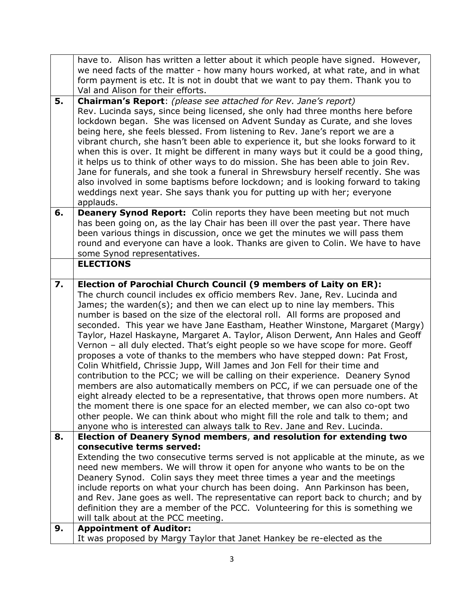|    | have to. Alison has written a letter about it which people have signed. However,                                                                                          |
|----|---------------------------------------------------------------------------------------------------------------------------------------------------------------------------|
|    | we need facts of the matter - how many hours worked, at what rate, and in what                                                                                            |
|    | form payment is etc. It is not in doubt that we want to pay them. Thank you to                                                                                            |
|    | Val and Alison for their efforts.                                                                                                                                         |
| 5. | <b>Chairman's Report:</b> (please see attached for Rev. Jane's report)                                                                                                    |
|    | Rev. Lucinda says, since being licensed, she only had three months here before                                                                                            |
|    | lockdown began. She was licensed on Advent Sunday as Curate, and she loves                                                                                                |
|    | being here, she feels blessed. From listening to Rev. Jane's report we are a                                                                                              |
|    | vibrant church, she hasn't been able to experience it, but she looks forward to it<br>when this is over. It might be different in many ways but it could be a good thing, |
|    | it helps us to think of other ways to do mission. She has been able to join Rev.                                                                                          |
|    | Jane for funerals, and she took a funeral in Shrewsbury herself recently. She was                                                                                         |
|    | also involved in some baptisms before lockdown; and is looking forward to taking                                                                                          |
|    | weddings next year. She says thank you for putting up with her; everyone                                                                                                  |
|    | applauds.                                                                                                                                                                 |
| 6. | <b>Deanery Synod Report:</b> Colin reports they have been meeting but not much                                                                                            |
|    | has been going on, as the lay Chair has been ill over the past year. There have                                                                                           |
|    | been various things in discussion, once we get the minutes we will pass them                                                                                              |
|    | round and everyone can have a look. Thanks are given to Colin. We have to have                                                                                            |
|    | some Synod representatives.                                                                                                                                               |
|    | <b>ELECTIONS</b>                                                                                                                                                          |
| 7. | Election of Parochial Church Council (9 members of Laity on ER):                                                                                                          |
|    | The church council includes ex officio members Rev. Jane, Rev. Lucinda and                                                                                                |
|    |                                                                                                                                                                           |
|    | James; the warden(s); and then we can elect up to nine lay members. This                                                                                                  |
|    | number is based on the size of the electoral roll. All forms are proposed and                                                                                             |
|    | seconded. This year we have Jane Eastham, Heather Winstone, Margaret (Margy)                                                                                              |
|    | Taylor, Hazel Haskayne, Margaret A. Taylor, Alison Derwent, Ann Hales and Geoff                                                                                           |
|    | Vernon - all duly elected. That's eight people so we have scope for more. Geoff                                                                                           |
|    | proposes a vote of thanks to the members who have stepped down: Pat Frost,                                                                                                |
|    | Colin Whitfield, Chrissie Jupp, Will James and Jon Fell for their time and<br>contribution to the PCC; we will be calling on their experience. Deanery Synod              |
|    | members are also automatically members on PCC, if we can persuade one of the                                                                                              |
|    | eight already elected to be a representative, that throws open more numbers. At                                                                                           |
|    | the moment there is one space for an elected member, we can also co-opt two                                                                                               |
|    | other people. We can think about who might fill the role and talk to them; and                                                                                            |
|    | anyone who is interested can always talk to Rev. Jane and Rev. Lucinda.                                                                                                   |
| 8. | Election of Deanery Synod members, and resolution for extending two                                                                                                       |
|    | consecutive terms served:                                                                                                                                                 |
|    | Extending the two consecutive terms served is not applicable at the minute, as we                                                                                         |
|    | need new members. We will throw it open for anyone who wants to be on the                                                                                                 |
|    | Deanery Synod. Colin says they meet three times a year and the meetings                                                                                                   |
|    | include reports on what your church has been doing. Ann Parkinson has been,<br>and Rev. Jane goes as well. The representative can report back to church; and by           |
|    | definition they are a member of the PCC. Volunteering for this is something we                                                                                            |
|    | will talk about at the PCC meeting.                                                                                                                                       |
| 9. | <b>Appointment of Auditor:</b><br>It was proposed by Margy Taylor that Janet Hankey be re-elected as the                                                                  |